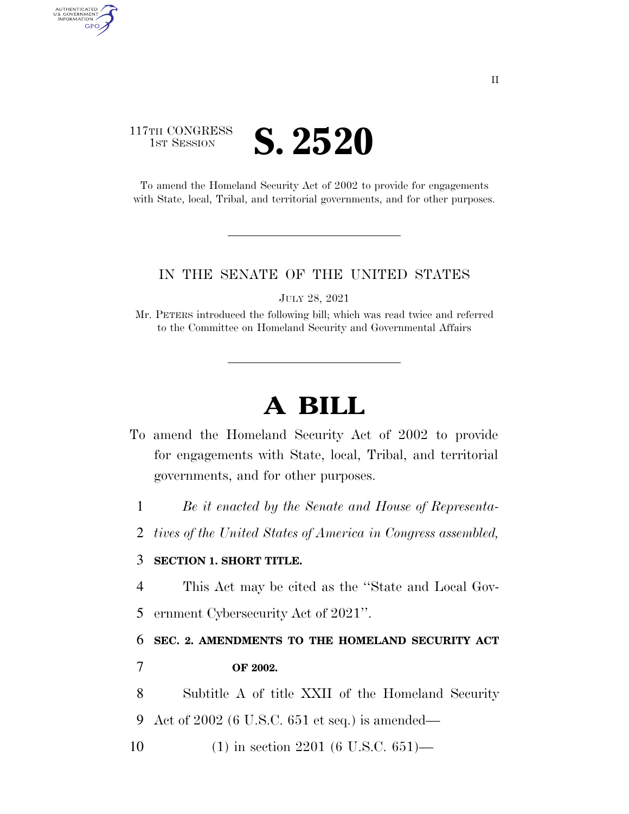## 117TH CONGRESS **IST SESSION S. 2520**

AUTHENTICATED<br>U.S. GOVERNMENT<br>INFORMATION GPO

> To amend the Homeland Security Act of 2002 to provide for engagements with State, local, Tribal, and territorial governments, and for other purposes.

## IN THE SENATE OF THE UNITED STATES

JULY 28, 2021

Mr. PETERS introduced the following bill; which was read twice and referred to the Committee on Homeland Security and Governmental Affairs

## **A BILL**

- To amend the Homeland Security Act of 2002 to provide for engagements with State, local, Tribal, and territorial governments, and for other purposes.
	- 1 *Be it enacted by the Senate and House of Representa-*
	- 2 *tives of the United States of America in Congress assembled,*

## 3 **SECTION 1. SHORT TITLE.**

4 This Act may be cited as the ''State and Local Gov-

5 ernment Cybersecurity Act of 2021''.

6 **SEC. 2. AMENDMENTS TO THE HOMELAND SECURITY ACT**  7 **OF 2002.** 

8 Subtitle A of title XXII of the Homeland Security 9 Act of 2002 (6 U.S.C. 651 et seq.) is amended—

10 (1) in section 2201 (6 U.S.C. 651)—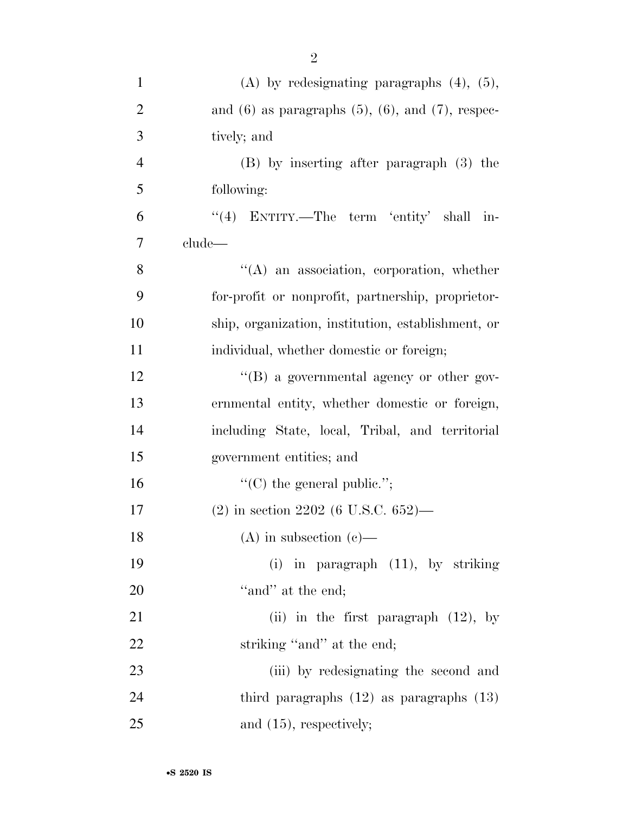| $\mathbf{1}$   | (A) by redesignating paragraphs $(4)$ , $(5)$ ,             |
|----------------|-------------------------------------------------------------|
| $\overline{2}$ | and $(6)$ as paragraphs $(5)$ , $(6)$ , and $(7)$ , respec- |
| 3              | tively; and                                                 |
| $\overline{4}$ | (B) by inserting after paragraph (3) the                    |
| 5              | following:                                                  |
| 6              | "(4) ENTITY.—The term 'entity' shall in-                    |
| 7              | clude—                                                      |
| 8              | $\lq\lq$ an association, corporation, whether               |
| 9              | for-profit or nonprofit, partnership, proprietor-           |
| 10             | ship, organization, institution, establishment, or          |
| 11             | individual, whether domestic or foreign;                    |
| 12             | "(B) a governmental agency or other gov-                    |
| 13             | ernmental entity, whether domestic or foreign,              |
| 14             | including State, local, Tribal, and territorial             |
| 15             | government entities; and                                    |
| 16             | "(C) the general public.";                                  |
| 17             | $(2)$ in section 2202 (6 U.S.C. 652)—                       |
| 18             | $(A)$ in subsection $(e)$ —                                 |
| 19             | (i) in paragraph $(11)$ , by striking                       |
| 20             | "and" at the end;                                           |
| 21             | (ii) in the first paragraph $(12)$ , by                     |
| 22             | striking "and" at the end;                                  |
| 23             | (iii) by redesignating the second and                       |
| 24             | third paragraphs $(12)$ as paragraphs $(13)$                |
| 25             | and $(15)$ , respectively;                                  |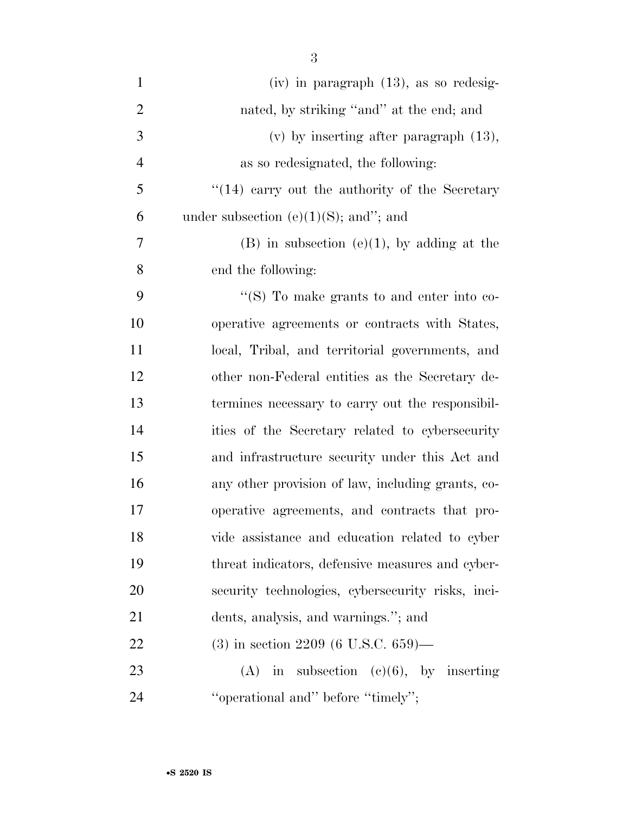| $\mathbf{1}$   | $(iv)$ in paragraph $(13)$ , as so redesig-       |
|----------------|---------------------------------------------------|
| $\overline{2}$ | nated, by striking "and" at the end; and          |
| 3              | $(v)$ by inserting after paragraph $(13)$ ,       |
| $\overline{4}$ | as so redesignated, the following:                |
| 5              | $``(14)$ carry out the authority of the Secretary |
| 6              | under subsection (e) $(1)(S)$ ; and"; and         |
| 7              | $(B)$ in subsection $(e)(1)$ , by adding at the   |
| 8              | end the following:                                |
| 9              | "(S) To make grants to and enter into co-         |
| 10             | operative agreements or contracts with States,    |
| 11             | local, Tribal, and territorial governments, and   |
| 12             | other non-Federal entities as the Secretary de-   |
| 13             | termines necessary to carry out the responsibil-  |
| 14             | ities of the Secretary related to cybersecurity   |
| 15             | and infrastructure security under this Act and    |
| 16             | any other provision of law, including grants, co- |
| 17             | operative agreements, and contracts that pro-     |
| 18             | vide assistance and education related to cyber    |
| 19             | threat indicators, defensive measures and cyber-  |
| <b>20</b>      | security technologies, cybersecurity risks, inci- |
| 21             | dents, analysis, and warnings."; and              |
| 22             | $(3)$ in section 2209 (6 U.S.C. 659)—             |
| 23             | in subsection (c)(6), by inserting<br>(A)         |
|                |                                                   |

24 "operational and" before "timely";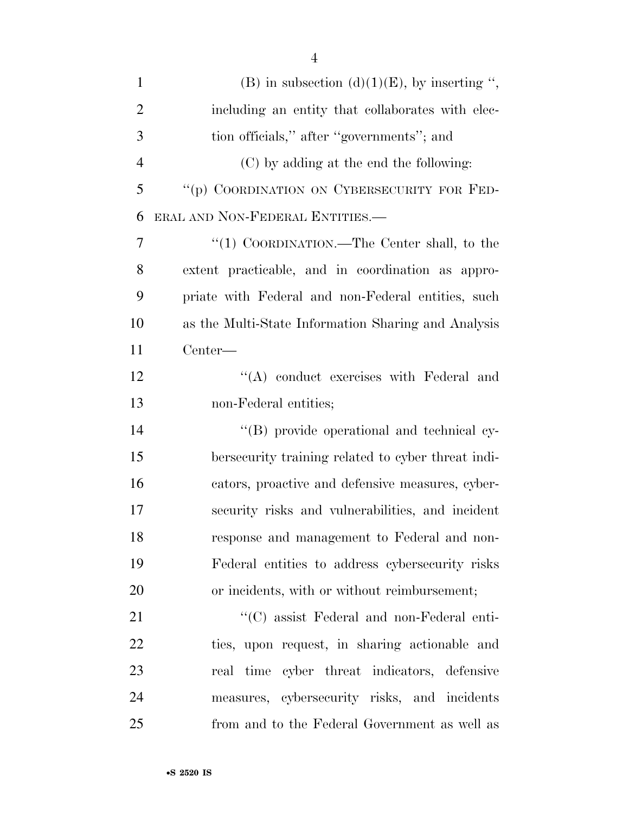1 (B) in subsection (d)(1)(E), by inserting ", 2 including an entity that collaborates with elec- tion officials,'' after ''governments''; and (C) by adding at the end the following: ''(p) COORDINATION ON CYBERSECURITY FOR FED- ERAL AND NON-FEDERAL ENTITIES.— 7 "(1) COORDINATION.—The Center shall, to the extent practicable, and in coordination as appro- priate with Federal and non-Federal entities, such as the Multi-State Information Sharing and Analysis Center— 12 ''(A) conduct exercises with Federal and non-Federal entities; ''(B) provide operational and technical cy- bersecurity training related to cyber threat indi- cators, proactive and defensive measures, cyber- security risks and vulnerabilities, and incident response and management to Federal and non- Federal entities to address cybersecurity risks or incidents, with or without reimbursement; 21 ''(C) assist Federal and non-Federal enti- ties, upon request, in sharing actionable and real time cyber threat indicators, defensive measures, cybersecurity risks, and incidents

from and to the Federal Government as well as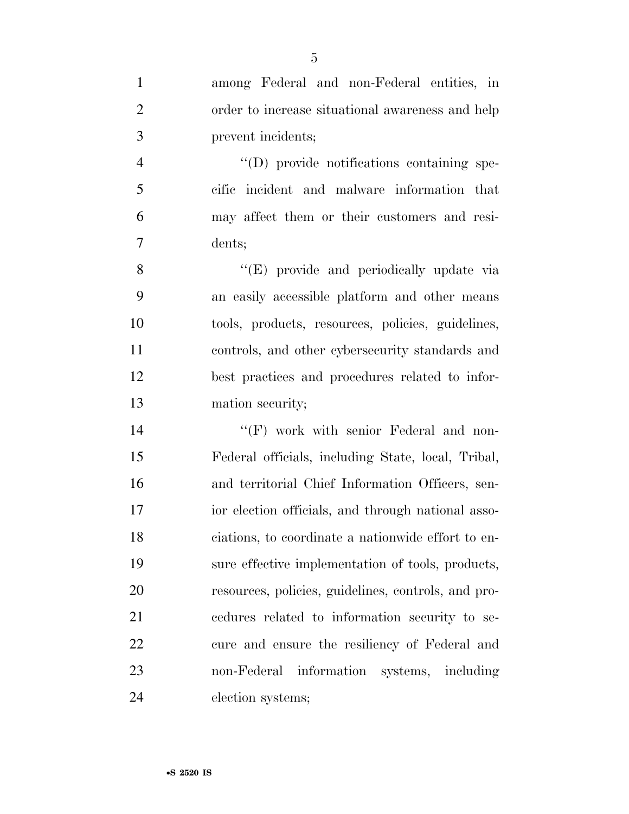| $\mathbf{1}$   | among Federal and non-Federal entities, in          |
|----------------|-----------------------------------------------------|
| $\overline{2}$ | order to increase situational awareness and help    |
| 3              | prevent incidents;                                  |
| $\overline{4}$ | "(D) provide notifications containing spe-          |
| 5              | cific incident and malware information that         |
| 6              | may affect them or their customers and resi-        |
| $\overline{7}$ | dents;                                              |
| 8              | "(E) provide and periodically update via            |
| 9              | an easily accessible platform and other means       |
| 10             | tools, products, resources, policies, guidelines,   |
| 11             | controls, and other cybersecurity standards and     |
| 12             | best practices and procedures related to infor-     |
| 13             | mation security;                                    |
| 14             | " $(F)$ work with senior Federal and non-           |
| 15             | Federal officials, including State, local, Tribal,  |
| 16             | and territorial Chief Information Officers, sen-    |
| 17             | ior election officials, and through national asso-  |
| 18             | ciations, to coordinate a nationwide effort to en-  |
| 19             | sure effective implementation of tools, products,   |
| 20             | resources, policies, guidelines, controls, and pro- |
| 21             | cedures related to information security to se-      |
|                |                                                     |

cure and ensure the resiliency of Federal and

non-Federal information systems, including

•**S 2520 IS**

election systems;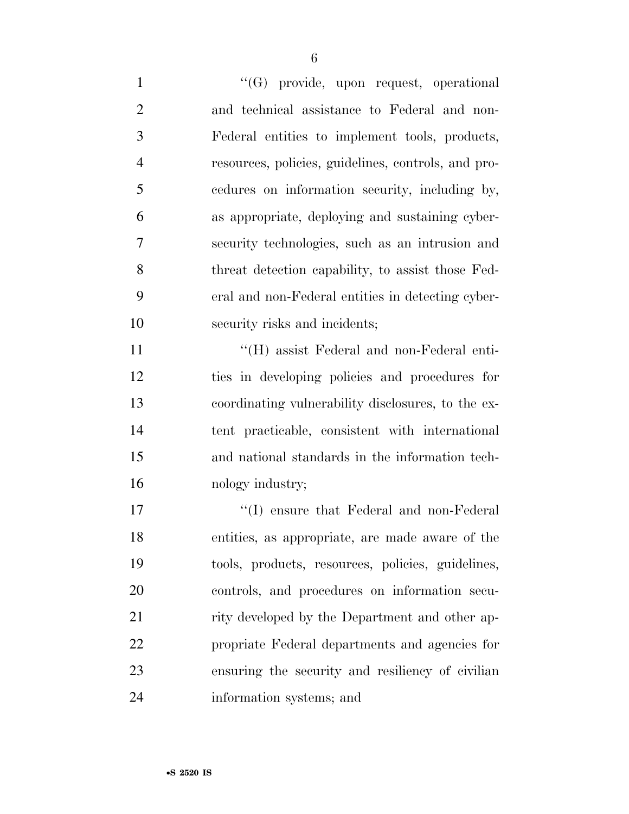''(G) provide, upon request, operational and technical assistance to Federal and non- Federal entities to implement tools, products, resources, policies, guidelines, controls, and pro- cedures on information security, including by, as appropriate, deploying and sustaining cyber- security technologies, such as an intrusion and threat detection capability, to assist those Fed- eral and non-Federal entities in detecting cyber- security risks and incidents; 11 ''(H) assist Federal and non-Federal enti- ties in developing policies and procedures for coordinating vulnerability disclosures, to the ex- tent practicable, consistent with international and national standards in the information tech- nology industry;  $\text{``(I)}$  ensure that Federal and non-Federal entities, as appropriate, are made aware of the

tools, products, resources, policies, guidelines,

controls, and procedures on information secu-

21 rity developed by the Department and other ap-

propriate Federal departments and agencies for

ensuring the security and resiliency of civilian

information systems; and